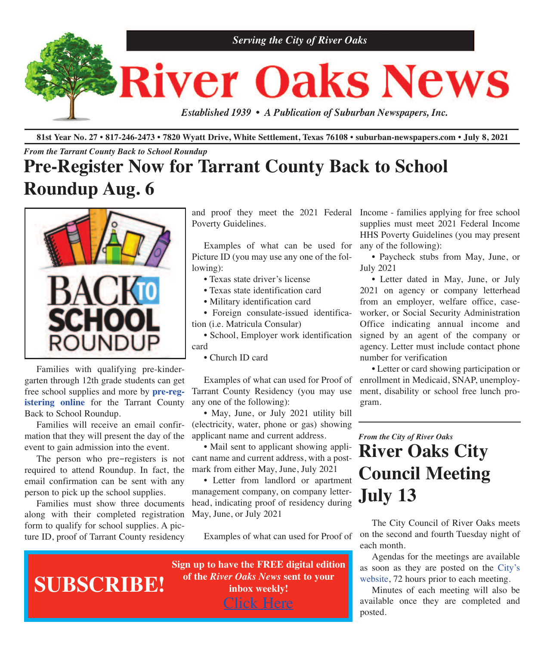

81st Year No. 27 • 817-246-2473 • 7820 Wyatt Drive, White Settlement, Texas 76108 • suburban-newspapers.com • July 8, 2021

#### *From the Tarrant County Back to School Roundup*

## **Pre-Register Now for Tarrant County Back to School Roundup Aug. 6**



 Families with qualifying pre-kindergarten through 12th grade students can get free school supplies and more by **[pre-reg](https://www.emailmeform.com/builder/form/9Hs57C7el4ZTv8o7m0b2G4)[istering](https://www.emailmeform.com/builder/form/9Hs57C7el4ZTv8o7m0b2G4) online** for the Tarrant County Back to School Roundup.

 Families will receive an email confirmation that they will present the day of the event to gain admission into the event.

required to attend Roundup. In fact, the email confirmation can be sent with any person to pick up the school supplies.

 Families must show three documents along with their completed registration form to qualify for school supplies. A picture ID, proof of Tarrant County residency

Poverty Guidelines.

 Examples of what can be used for Picture ID (you may use any one of the following):

- Texas state driver's license
- Texas state identification card
- Military identification card

 • Foreign consulate-issued identification (i.e. Matricula Consular)

 • School, Employer work identification card

• Church ID card

 Examples of what can used for Proof of Tarrant County Residency (you may use any one of the following):

 • May, June, or July 2021 utility bill (electricity, water, phone or gas) showing applicant name and current address.

 The person who pre-registers is not cant name and current address, with a post- • Mail sent to applicant showing applimark from either May, June, July 2021

> • Letter from landlord or apartment management company, on company letterhead, indicating proof of residency during May, June, or July 2021

Examples of what can used for Proof of

and proof they meet the 2021 Federal Income - families applying for free school supplies must meet 2021 Federal Income HHS Poverty Guidelines (you may present any of the following):

> • Paycheck stubs from May, June, or July 2021

> • Letter dated in May, June, or July 2021 on agency or company letterhead from an employer, welfare office, caseworker, or Social Security Administration Office indicating annual income and signed by an agent of the company or agency. Letter must include contact phone number for verification

> • Letter or card showing participation or enrollment in Medicaid, SNAP, unemployment, disability or school free lunch program.

## *From the City of River Oaks* **River Oaks City Council Meeting July 13**

 The City Council of River Oaks meets on the second and fourth Tuesday night of each month.

 Agendas for the meetings are available as soon as they are posted on the [City's](http://www.riveroakstx.com) [website,](http://www.riveroakstx.com) 72 hours prior to each meeting.

 Minutes of each meeting will also be available once they are completed and posted.

**Sign up to have the FREE digital edition of the** *River Oaks News* **sent to your inbox weekly!** [Click](http://eepurl.com/g3m8OX) Here **SUBSCRIBE!**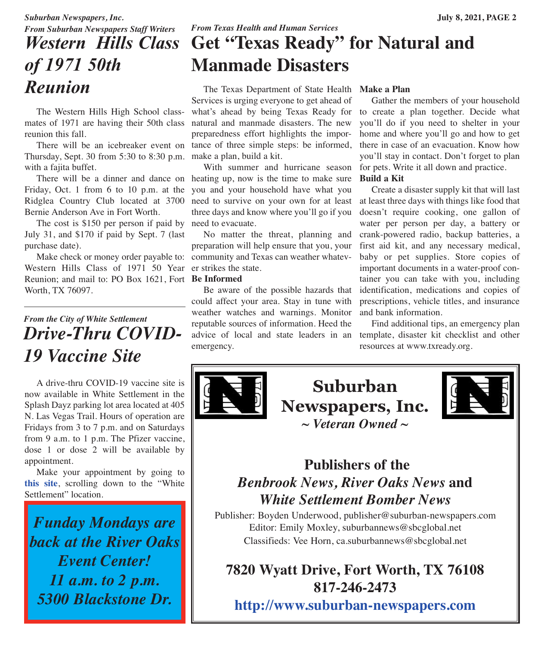## *From Suburban Newspapers Staff Writers Western Hills Class of 1971 50th Reunion*

The Western Hills High School classmates of 1971 are having their 50th class reunion this fall.

There will be an icebreaker event on tance of three simple steps: be informed, Thursday, Sept. 30 from 5:30 to 8:30 p.m. make a plan, build a kit. with a fajita buffet.

There will be a dinner and dance on heating up, now is the time to make sure Friday, Oct. 1 from 6 to 10 p.m. at the Bernie Anderson Ave in Fort Worth.

The cost is \$150 per person if paid by need to evacuate. July 31, and \$170 if paid by Sept. 7 (last purchase date).

Western Hills Class of 1971 50 Year er strikes the state. Reunion; and mail to: PO Box 1621, Fort Be Informed Worth, TX 76097.

## *From the City of White Settlement Drive-Thru COVID-19 Vaccine Site*

 A drive-thru COVID-19 vaccine site is now available in White Settlement in the Splash Dayz parking lot area located at 405 N. Las Vegas Trail. Hours of operation are Fridays from 3 to 7 p.m. and on Saturdays from 9 a.m. to 1 p.m. The Pfizer vaccine, dose 1 or dose 2 will be available by appointment.

 Make your appointment by going to **[this](http://www.tarrantcounty.com/vaccinefinder) site**, scrolling down to the "White Settlement" location.

*Funday Mondays are back at the River Oaks Event Center! 11 a.m. to 2 p.m. 5300 Blackstone Dr.*

 The Texas Department of State Health Services is urging everyone to get ahead of what's ahead by being Texas Ready for to create a plan together. Decide what natural and manmade disasters. The new preparedness effort highlights the impor-

 With summer and hurricane season you and your household have what you Ridglea Country Club located at 3700 need to survive on your own for at least at least three days with things like food that three days and know where you'll go if you

 No matter the threat, planning and preparation will help ensure that you, your Make check or money order payable to: community and Texas can weather whatev-

 Be aware of the possible hazards that could affect your area. Stay in tune with weather watches and warnings. Monitor reputable sources of information. Heed the advice of local and state leaders in an template, disaster kit checklist and other emergency.

#### **Make a Plan**

 Gather the members of your household you'll do if you need to shelter in your home and where you'll go and how to get there in case of an evacuation. Know how you'll stay in contact. Don't forget to plan for pets. Write it all down and practice. **Build a Kit**

 Create a disaster supply kit that will last doesn't require cooking, one gallon of water per person per day, a battery or crank-powered radio, backup batteries, a first aid kit, and any necessary medical, baby or pet supplies. Store copies of important documents in a water-proof container you can take with you, including identification, medications and copies of prescriptions, vehicle titles, and insurance and bank information.

 Find additional tips, an emergency plan resources at www.txready.org.



**Suburban Newspapers, Inc.** *~ Veteran Owned ~*



## **Publishers of the** *Benbrook News, River Oaks News* **and** *White Settlement Bomber News*

Publisher: Boyden Underwood, publisher@suburban-newspapers.com Editor: Emily Moxley, suburbannews@sbcglobal.net Classifieds: Vee Horn, ca.suburbannews@sbcglobal.net

## **7820 Wyatt Drive, Fort Worth, TX 76108 817-246-2473**

**<http://www.suburban-newspapers.com>**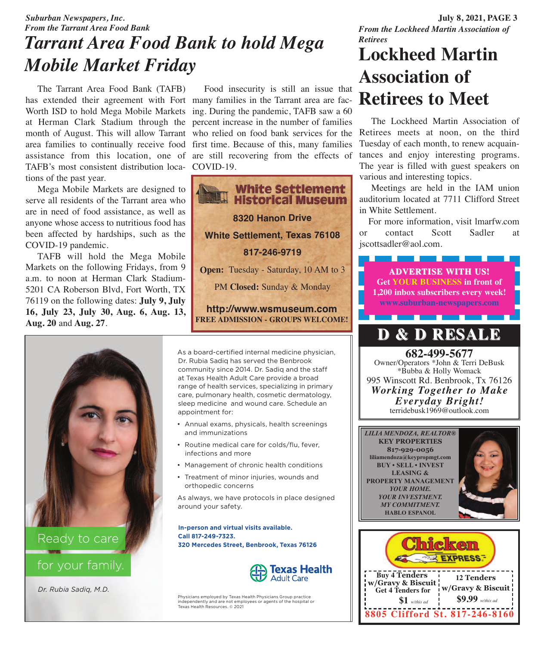### *From the Lockheed Martin Association of Retirees*

## *Suburban Newspapers, Inc.* **July 8, 2021, PAGE 3** *From the Tarrant Area Food Bank Tarrant Area Food Bank to hold Mega Mobile Market Friday*

month of August. This will allow Tarrant who relied on food bank services for the Retirees meets at noon, on the third The Tarrant Area Food Bank (TAFB) has extended their agreement with Fort many families in the Tarrant area are fac-Worth ISD to hold Mega Mobile Markets ing. During the pandemic, TAFB saw a 60 at Herman Clark Stadium through the percent increase in the number of families area families to continually receive food first time. Because of this, many families assistance from this location, one of are still recovering from the effects of TAFB's most consistent distribution loca-COVID-19. tions of the past year.

 Mega Mobile Markets are designed to serve all residents of the Tarrant area who are in need of food assistance, as well as anyone whose access to nutritious food has been affected by hardships, such as the COVID-19 pandemic.

 TAFB will hold the Mega Mobile Markets on the following Fridays, from 9 a.m. to noon at Herman Clark Stadium-5201 CA Roberson Blvd, Fort Worth, TX 76119 on the following dates: **July 9, July 16, July 23, July 30, Aug. 6, Aug. 13, Aug. 20** and **Aug. 27**.



for your family.

*Dr. Rubia Sadiq, M.D.*

Food insecurity is still an issue that



As a board-certified internal medicine physician, Dr. Rubia Sadiq has served the Benbrook community since 2014. Dr. Sadiq and the staff at Texas Health Adult Care provide a broad range of health services, specializing in primary care, pulmonary health, cosmetic dermatology, sleep medicine and wound care. Schedule an appointment for:

- Annual exams, physicals, health screenings and immunizations
- Routine medical care for colds/flu, fever, infections and more
- Management of chronic health conditions
- Treatment of minor injuries, wounds and orthopedic concerns

As always, we have protocols in place designed around your safety.

**In-person and virtual visits available. Call 817-249-7323. 320 Mercedes Street, Benbrook, Texas 76126**



Physicians employed by Texas Health Physicians Group practice independently and are not employees or agents of the hospital or Texas Health Resources. © 2021

## **Lockheed Martin Association of Retirees to Meet**

 The Lockheed Martin Association of Tuesday of each month, to renew acquaintances and enjoy interesting programs. The year is filled with guest speakers on various and interesting topics.

 Meetings are held in the IAM union auditorium located at 7711 Clifford Street in White Settlement.

For more information, visit lmarfw.com or contact Scott Sadler at jscottsadler@aol.com.

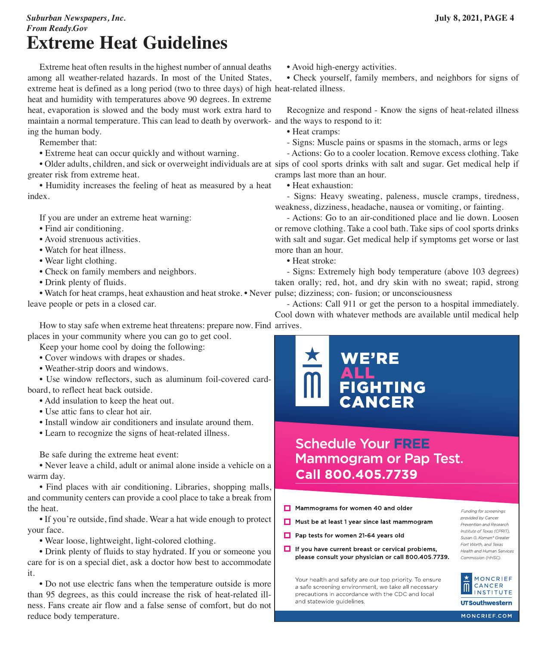#### *Suburban Newspapers, Inc.* **July 8, 2021, PAGE 4** *From Ready.Gov* **Extreme Heat Guidelines**

 Extreme heat often results in the highest number of annual deaths among all weather-related hazards. In most of the United States, extreme heat is defined as a long period (two to three days) of high heat-related illness. heat and humidity with temperatures above 90 degrees. In extreme heat, evaporation is slowed and the body must work extra hard to maintain a normal temperature. This can lead to death by overwork-and the ways to respond to it: ing the human body.

Remember that:

• Extreme heat can occur quickly and without warning.

 • Older adults, children, and sick or overweight individuals are at sips of cool sports drinks with salt and sugar. Get medical help if greater risk from extreme heat.

 • Humidity increases the feeling of heat as measured by a heat index.

If you are under an extreme heat warning:

- Find air conditioning.
- Avoid strenuous activities.
- Watch for heat illness.
- Wear light clothing.
- Check on family members and neighbors.
- Drink plenty of fluids.

 • Watch for heat cramps, heat exhaustion and heat stroke. • Never pulse; dizziness; con- fusion; or unconsciousness leave people or pets in a closed car.

 How to stay safe when extreme heat threatens: prepare now. Find arrives.places in your community where you can go to get cool.

Keep your home cool by doing the following:

- Cover windows with drapes or shades.
- Weather-strip doors and windows.

 • Use window reflectors, such as aluminum foil-covered cardboard, to reflect heat back outside.

- Add insulation to keep the heat out.
- Use attic fans to clear hot air.
- Install window air conditioners and insulate around them.
- Learn to recognize the signs of heat-related illness.

Be safe during the extreme heat event:

 • Never leave a child, adult or animal alone inside a vehicle on a warm day.

 • Find places with air conditioning. Libraries, shopping malls, and community centers can provide a cool place to take a break from the heat.

 • If you're outside, find shade. Wear a hat wide enough to protect your face.

• Wear loose, lightweight, light-colored clothing.

 • Drink plenty of fluids to stay hydrated. If you or someone you care for is on a special diet, ask a doctor how best to accommodate it.

 • Do not use electric fans when the temperature outside is more than 95 degrees, as this could increase the risk of heat-related illness. Fans create air flow and a false sense of comfort, but do not reduce body temperature.

• Avoid high-energy activities.

• Check yourself, family members, and neighbors for signs of

Recognize and respond - Know the signs of heat-related illness

- Heat cramps:
- Signs: Muscle pains or spasms in the stomach, arms or legs

 - Actions: Go to a cooler location. Remove excess clothing. Take cramps last more than an hour.

• Heat exhaustion:

 - Signs: Heavy sweating, paleness, muscle cramps, tiredness, weakness, dizziness, headache, nausea or vomiting, or fainting.

 - Actions: Go to an air-conditioned place and lie down. Loosen or remove clothing. Take a cool bath. Take sips of cool sports drinks with salt and sugar. Get medical help if symptoms get worse or last more than an hour.

• Heat stroke:

 - Signs: Extremely high body temperature (above 103 degrees) taken orally; red, hot, and dry skin with no sweat; rapid, strong

 - Actions: Call 911 or get the person to a hospital immediately. Cool down with whatever methods are available until medical help



## **Schedule Your FREE Mammogram or Pap Test. Call 800.405.7739**

- Mammograms for women 40 and older
- Must be at least 1 year since last mammogram
- Pap tests for women 21-64 years old
- $\Box$  If you have current breast or cervical problems, please consult your physician or call 800.405.7739.

Your health and safety are our top priority. To ensure a safe screening environment, we take all necessary precautions in accordance with the CDC and local and statewide quidelines.

Funding for screenings provided by Cancer Prevention and Research Institute of Texas (CPRIT), Susan G. Komen® Greater Fort Worth, and Texas Health and Human Services Commission (HHSC).

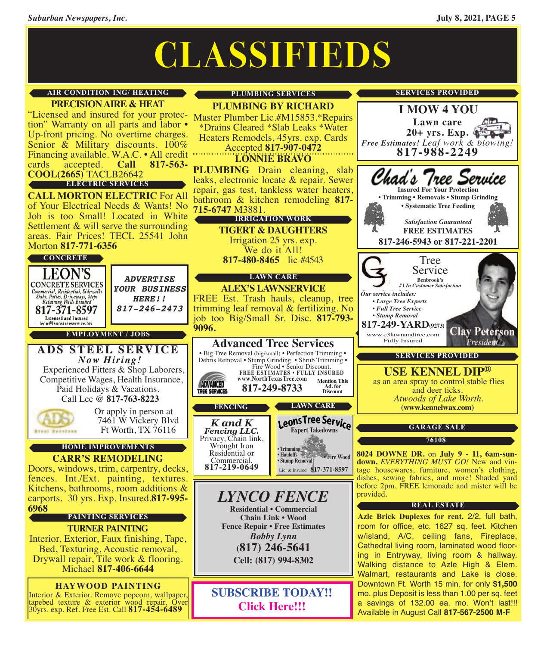# **CLASSIFIEDS**

#### **AIR CONDITION ING/ HEATING**

**PRECISIONAIRE & HEAT** "Licensed and insured for your protec- Master Plumber Lic.#M15853.\*Repairs<br>tion" Warranty on all parts and labor • \*Drains Cleared \*Slab Leaks \*Water<br>Up-front pricing. No overtime charges. Heaters Remodels, 45yrs. exp. Car Financing available. W.A.C. • All credit "<br>cards accepted. **Call 817-563**cards accepted. **Call 817-563- COOL(2665)** TACLB26642

#### **ELECTRIC SERVICES**

**CALL MORTON ELECTRIC** For All of Your Electrical Needs & Wants! No Job is too Small! Located in White Settlement & will serve the surrounding areas. Fair Prices! TECL 25541 John Morton **817-771-6356**

#### **CONCRETE**



30yrs. exp. Ref. Free Est. Call **817-454-6489**

#### **PLUMBING SERVICES**

**PLUMBING BY RICHARD**

\*Drains Cleared \*Slab Leaks \*Water

Heaters Remodels, 45yrs. exp. Cards Accepted **817-907-0472**

**LONNIE BRAVO**

**PLUMBING** Drain cleaning, slab leaks, electronic locate & repair. Sewer repair, gas test, tankless water heaters, bathroom & kitchen remodeling **817- 715-6747** M3881.

#### **IRRIGATION WORK**

**TIGERT & DAUGHTERS** Irrigation <sup>25</sup> yrs. exp. We do it All!

**817-480-8465** lic #4543

#### **LAWN CARE**

**ALEX'S LAWNSERVICE** FREE Est. Trash hauls, cleanup, tree trimming leaf removal & fertilizing. No job too Big/Small Sr. Disc. **817-793-**

#### **Advanced Tree Services** • Big Tree Removal (big/small) • Perfection Trimming •

Debris Removal • Stump Grinding • Shrub Trimming • Fire Wood • Senior Discount. **FREE ESTIMATES • FULLY INSURED www.NorthTexasTree.com Mention This Ad. for Discount**

**817-249-8733**

Privacy, Chain link, Wrought Iron Residential or



## *LYNCO FENCE* **Residential • Commercial**

**Chain Link • Wood Fence Repair • Free Estimates** *Bobby Lynn* **(817) 246-5641 Cell: (817) 994-8302**

**SUBSCRIBE TODAY!! [Click](http://eepurl.com/g3m8OX) Here!!!**



**Lawn care 20+ yrs. Exp.**

**I MOW 4 YOU**

**SERVICES PROVIDED**

as an area spray to control stable flies and deer ticks. *Atwoods of Lake Worth.* **(www.kennelwax.com)**

#### **GARAGE SALE**

**76108**

**<sup>8024</sup> DOWNE DR.** on **July <sup>9</sup> - 11, 6am-sun- down.** *EVERYTHING MUST GO!* New and vin- tage housewares, furniture, women's clothing, dishes, sewing fabrics, and more! Shaded yard before 2pm, FREE lemonade and mister will be provided.

#### **REAL ESTATE**

**Azle Brick Duplexes for rent.** 2/2, full bath, room for office, etc. 1627 sq. feet. Kitchen w/island, A/C, ceiling fans, Fireplace, Cathedral living room, laminated wood flooring in Entryway, living room & hallway. Walking distance to Azle High & Elem. Walmart, restaurants and Lake is close. Downtown Ft. Worth 15 min. for only **\$1,500** mo. plus Deposit is less than 1.00 per sq. feet a savings of 132.00 ea. mo. Won't last!!! Available in August Call **817-567-2500 M-F**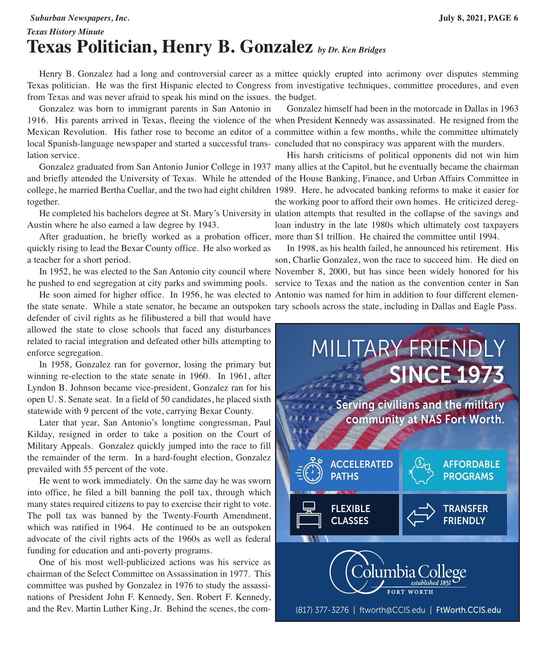#### *Suburban Newspapers, Inc.* **July 8, 2021, PAGE 6**

## *Texas History Minute* **Texas Politician, Henry B. Gonzalez** *by Dr. Ken Bridges*

Texas politician. He was the first Hispanic elected to Congress from investigative techniques, committee procedures, and even from Texas and was never afraid to speak his mind on the issues. the budget.

 Gonzalez was born to immigrant parents in San Antonio in 1916. His parents arrived in Texas, fleeing the violence of the when President Kennedy was assassinated. He resigned from the Mexican Revolution. His father rose to become an editor of a committee within a few months, while the committee ultimately local Spanish-language newspaper and started a successful trans-concluded that no conspiracy was apparent with the murders. lation service.

 Gonzalez graduated from San Antonio Junior College in 1937 many allies at the Capitol, but he eventually became the chairman and briefly attended the University of Texas. While he attended of the House Banking, Finance, and Urban Affairs Committee in college, he married Bertha Cuellar, and the two had eight children 1989. Here, he advocated banking reforms to make it easier for together.

Austin where he also earned a law degree by 1943.

 After graduation, he briefly worked as a probation officer, more than \$1 trillion. He chaired the committee until 1994. quickly rising to lead the Bexar County office. He also worked as a teacher for a short period.

 In 1952, he was elected to the San Antonio city council where November 8, 2000, but has since been widely honored for his he pushed to end segregation at city parks and swimming pools. service to Texas and the nation as the convention center in San

 He soon aimed for higher office. In 1956, he was elected to Antonio was named for him in addition to four different elementhe state senate. While a state senator, he became an outspoken tary schools across the state, including in Dallas and Eagle Pass.defender of civil rights as he filibustered a bill that would have allowed the state to close schools that faced any disturbances related to racial integration and defeated other bills attempting to enforce segregation.

 In 1958, Gonzalez ran for governor, losing the primary but winning re-election to the state senate in 1960. In 1961, after Lyndon B. Johnson became vice-president, Gonzalez ran for his open U. S. Senate seat. In a field of 50 candidates, he placed sixth statewide with 9 percent of the vote, carrying Bexar County.

 Later that year, San Antonio's longtime congressman, Paul Kilday, resigned in order to take a position on the Court of Military Appeals. Gonzalez quickly jumped into the race to fill the remainder of the term. In a hard-fought election, Gonzalez prevailed with 55 percent of the vote.

 He went to work immediately. On the same day he was sworn into office, he filed a bill banning the poll tax, through which many states required citizens to pay to exercise their right to vote. The poll tax was banned by the Twenty-Fourth Amendment, which was ratified in 1964. He continued to be an outspoken advocate of the civil rights acts of the 1960s as well as federal funding for education and anti-poverty programs.

 One of his most well-publicized actions was his service as chairman of the Select Committee on Assassination in 1977. This committee was pushed by Gonzalez in 1976 to study the assassinations of President John F. Kennedy, Sen. Robert F. Kennedy, and the Rev. Martin Luther King, Jr. Behind the scenes, the com-

Henry B. Gonzalez had a long and controversial career as a mittee quickly erupted into acrimony over disputes stemming

Gonzalez himself had been in the motorcade in Dallas in 1963

 He completed his bachelors degree at St. Mary's University in ulation attempts that resulted in the collapse of the savings and His harsh criticisms of political opponents did not win him the working poor to afford their own homes. He criticized deregloan industry in the late 1980s which ultimately cost taxpayers

> In 1998, as his health failed, he announced his retirement. His son, Charlie Gonzalez, won the race to succeed him. He died on



(817) 377-3276 | ftworth@CCIS.edu | FtWorth.CCIS.edu